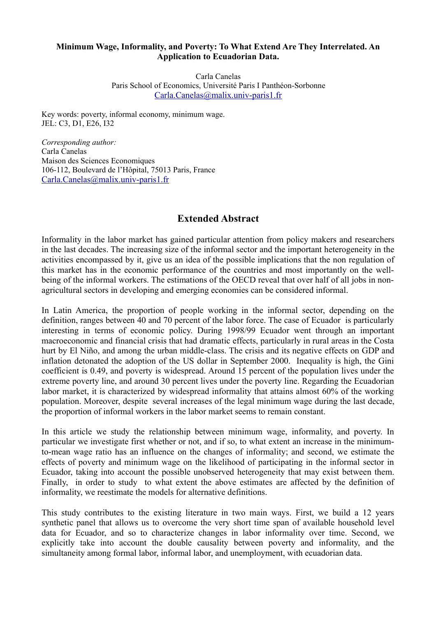## **Minimum Wage, Informality, and Poverty: To What Extend Are They Interrelated. An Application to Ecuadorian Data.**

Carla Canelas Paris School of Economics, Université Paris I Panthéon-Sorbonne [Carla.Canelas@malix.univ-paris1.fr](mailto:Carla.Canelas@malix.univ-paris1.fr)

Key words: poverty, informal economy, minimum wage. JEL: C3, D1, E26, I32

*Corresponding author:* Carla Canelas Maison des Sciences Economiques 106-112, Boulevard de l'Hôpital, 75013 Paris, France [Carla.Canelas@malix.univ-paris1.fr](mailto:Carla.Canelas@malix.univ-paris1.fr)

## **Extended Abstract**

Informality in the labor market has gained particular attention from policy makers and researchers in the last decades. The increasing size of the informal sector and the important heterogeneity in the activities encompassed by it, give us an idea of the possible implications that the non regulation of this market has in the economic performance of the countries and most importantly on the wellbeing of the informal workers. The estimations of the OECD reveal that over half of all jobs in nonagricultural sectors in developing and emerging economies can be considered informal.

In Latin America, the proportion of people working in the informal sector, depending on the definition, ranges between 40 and 70 percent of the labor force. The case of Ecuador is particularly interesting in terms of economic policy. During 1998/99 Ecuador went through an important macroeconomic and financial crisis that had dramatic effects, particularly in rural areas in the Costa hurt by El Niño, and among the urban middle-class. The crisis and its negative effects on GDP and inflation detonated the adoption of the US dollar in September 2000. Inequality is high, the Gini coefficient is 0.49, and poverty is widespread. Around 15 percent of the population lives under the extreme poverty line, and around 30 percent lives under the poverty line. Regarding the Ecuadorian labor market, it is characterized by widespread informality that attains almost 60% of the working population. Moreover, despite several increases of the legal minimum wage during the last decade, the proportion of informal workers in the labor market seems to remain constant.

In this article we study the relationship between minimum wage, informality, and poverty. In particular we investigate first whether or not, and if so, to what extent an increase in the minimumto-mean wage ratio has an influence on the changes of informality; and second, we estimate the effects of poverty and minimum wage on the likelihood of participating in the informal sector in Ecuador, taking into account the possible unobserved heterogeneity that may exist between them. Finally, in order to study to what extent the above estimates are affected by the definition of informality, we reestimate the models for alternative definitions.

This study contributes to the existing literature in two main ways. First, we build a 12 years synthetic panel that allows us to overcome the very short time span of available household level data for Ecuador, and so to characterize changes in labor informality over time. Second, we explicitly take into account the double causality between poverty and informality, and the simultaneity among formal labor, informal labor, and unemployment, with ecuadorian data.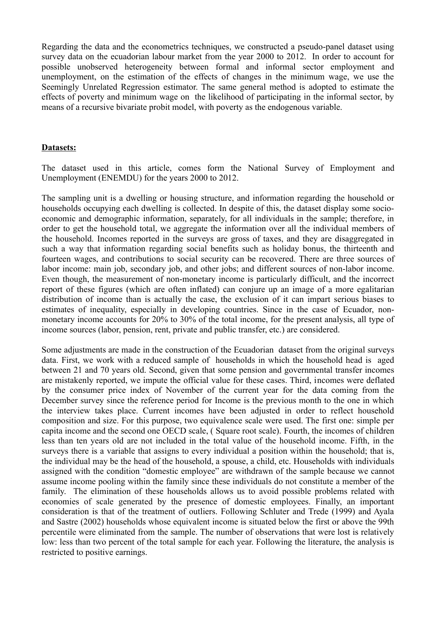Regarding the data and the econometrics techniques, we constructed a pseudo-panel dataset using survey data on the ecuadorian labour market from the year 2000 to 2012. In order to account for possible unobserved heterogeneity between formal and informal sector employment and unemployment, on the estimation of the effects of changes in the minimum wage, we use the Seemingly Unrelated Regression estimator. The same general method is adopted to estimate the effects of poverty and minimum wage on the likelihood of participating in the informal sector, by means of a recursive bivariate probit model, with poverty as the endogenous variable.

## **Datasets:**

The dataset used in this article, comes form the National Survey of Employment and Unemployment (ENEMDU) for the years 2000 to 2012.

The sampling unit is a dwelling or housing structure, and information regarding the household or households occupying each dwelling is collected. In despite of this, the dataset display some socioeconomic and demographic information, separately, for all individuals in the sample; therefore, in order to get the household total, we aggregate the information over all the individual members of the household. Incomes reported in the surveys are gross of taxes, and they are disaggregated in such a way that information regarding social benefits such as holiday bonus, the thirteenth and fourteen wages, and contributions to social security can be recovered. There are three sources of labor income: main job, secondary job, and other jobs; and different sources of non-labor income. Even though, the measurement of non-monetary income is particularly difficult, and the incorrect report of these figures (which are often inflated) can conjure up an image of a more egalitarian distribution of income than is actually the case, the exclusion of it can impart serious biases to estimates of inequality, especially in developing countries. Since in the case of Ecuador, nonmonetary income accounts for 20% to 30% of the total income, for the present analysis, all type of income sources (labor, pension, rent, private and public transfer, etc.) are considered.

Some adjustments are made in the construction of the Ecuadorian dataset from the original surveys data. First, we work with a reduced sample of households in which the household head is aged between 21 and 70 years old. Second, given that some pension and governmental transfer incomes are mistakenly reported, we impute the official value for these cases. Third, incomes were deflated by the consumer price index of November of the current year for the data coming from the December survey since the reference period for Income is the previous month to the one in which the interview takes place. Current incomes have been adjusted in order to reflect household composition and size. For this purpose, two equivalence scale were used. The first one: simple per capita income and the second one OECD scale, ( Square root scale). Fourth, the incomes of children less than ten years old are not included in the total value of the household income. Fifth, in the surveys there is a variable that assigns to every individual a position within the household; that is, the individual may be the head of the household, a spouse, a child, etc. Households with individuals assigned with the condition "domestic employee" are withdrawn of the sample because we cannot assume income pooling within the family since these individuals do not constitute a member of the family. The elimination of these households allows us to avoid possible problems related with economies of scale generated by the presence of domestic employees. Finally, an important consideration is that of the treatment of outliers. Following Schluter and Trede (1999) and Ayala and Sastre (2002) households whose equivalent income is situated below the first or above the 99th percentile were eliminated from the sample. The number of observations that were lost is relatively low: less than two percent of the total sample for each year. Following the literature, the analysis is restricted to positive earnings.